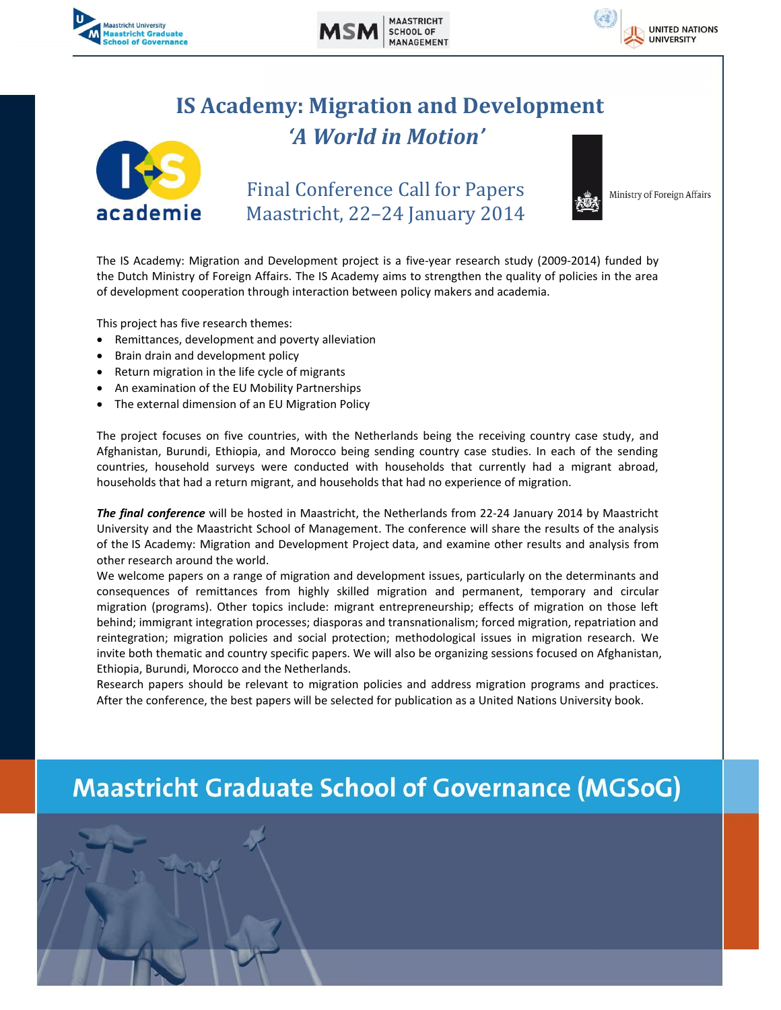





## **IS Academy: Migration and Development** *'A World in Motion'*



Final Conference Call for Papers Maastricht, 22–24 January 2014



Ministry of Foreign Affairs

The IS Academy: Migration and Development project is a five-year research study (2009-2014) funded by the Dutch Ministry of Foreign Affairs. The IS Academy aims to strengthen the quality of policies in the area of development cooperation through interaction between policy makers and academia.

This project has five research themes:

- Remittances, development and poverty alleviation
- Brain drain and development policy
- Return migration in the life cycle of migrants
- An examination of the EU Mobility Partnerships
- The external dimension of an EU Migration Policy

The project focuses on five countries, with the Netherlands being the receiving country case study, and Afghanistan, Burundi, Ethiopia, and Morocco being sending country case studies. In each of the sending countries, household surveys were conducted with households that currently had a migrant abroad, households that had a return migrant, and households that had no experience of migration.

*The final conference* will be hosted in Maastricht, the Netherlands from 22-24 January 2014 by Maastricht University and the Maastricht School of Management. The conference will share the results of the analysis of the IS Academy: Migration and Development Project data, and examine other results and analysis from other research around the world.

We welcome papers on a range of migration and development issues, particularly on the determinants and consequences of remittances from highly skilled migration and permanent, temporary and circular migration (programs). Other topics include: migrant entrepreneurship; effects of migration on those left behind; immigrant integration processes; diasporas and transnationalism; forced migration, repatriation and reintegration; migration policies and social protection; methodological issues in migration research. We invite both thematic and country specific papers. We will also be organizing sessions focused on Afghanistan, Ethiopia, Burundi, Morocco and the Netherlands.

Research papers should be relevant to migration policies and address migration programs and practices. After the conference, the best papers will be selected for publication as a United Nations University book.

# **Maastricht Graduate School of Governance (MGSoG)**